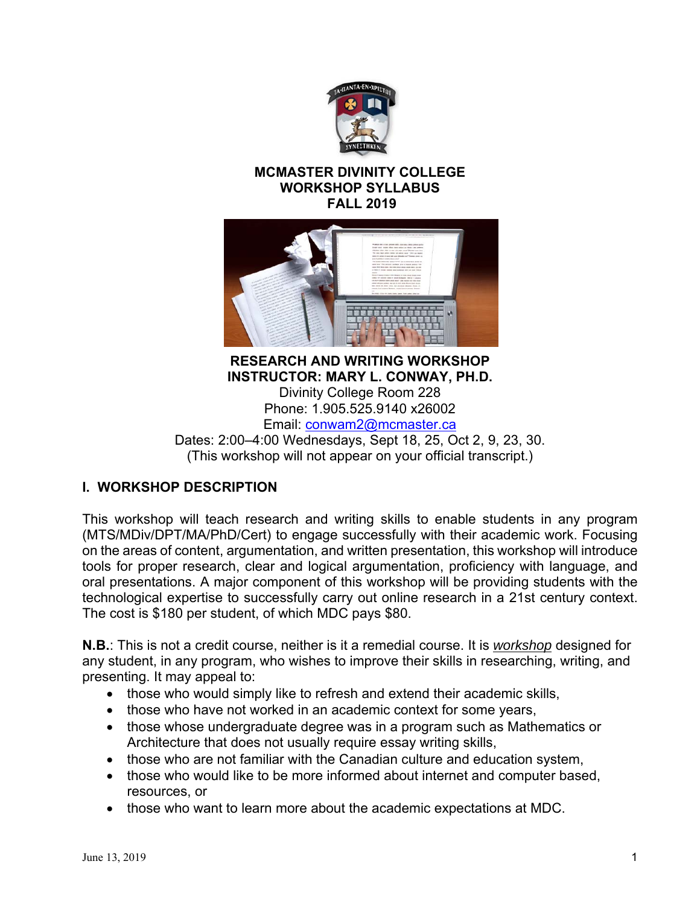

#### **MCMASTER DIVINITY COLLEGE WORKSHOP SYLLABUS FALL 2019**



**RESEARCH AND WRITING WORKSHOP INSTRUCTOR: MARY L. CONWAY, PH.D.**  Divinity College Room 228 Phone: 1.905.525.9140 x26002 Email: conwam2@mcmaster.ca Dates: 2:00–4:00 Wednesdays, Sept 18, 25, Oct 2, 9, 23, 30.

(This workshop will not appear on your official transcript.)

## **I. WORKSHOP DESCRIPTION**

This workshop will teach research and writing skills to enable students in any program (MTS/MDiv/DPT/MA/PhD/Cert) to engage successfully with their academic work. Focusing on the areas of content, argumentation, and written presentation, this workshop will introduce tools for proper research, clear and logical argumentation, proficiency with language, and oral presentations. A major component of this workshop will be providing students with the technological expertise to successfully carry out online research in a 21st century context. The cost is \$180 per student, of which MDC pays \$80.

**N.B.**: This is not a credit course, neither is it a remedial course. It is *workshop* designed for any student, in any program, who wishes to improve their skills in researching, writing, and presenting. It may appeal to:

- those who would simply like to refresh and extend their academic skills,
- those who have not worked in an academic context for some years,
- those whose undergraduate degree was in a program such as Mathematics or Architecture that does not usually require essay writing skills,
- those who are not familiar with the Canadian culture and education system,
- those who would like to be more informed about internet and computer based, resources, or
- those who want to learn more about the academic expectations at MDC.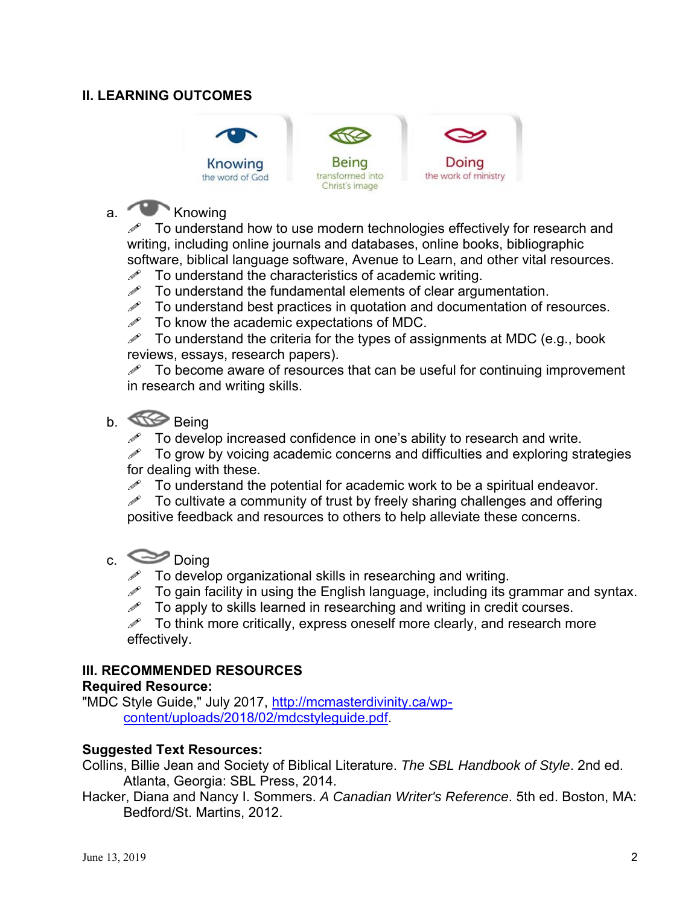### **II. LEARNING OUTCOMES**



# a. Knowing

 $\mathscr N$  To understand how to use modern technologies effectively for research and writing, including online journals and databases, online books, bibliographic software, biblical language software, Avenue to Learn, and other vital resources.

- $\mathscr N$  To understand the characteristics of academic writing.
- $\mathscr S$  To understand the fundamental elements of clear argumentation.
- $\mathscr{I}$  To understand best practices in quotation and documentation of resources.
- $\mathscr{P}$  To know the academic expectations of MDC.

 $\mathscr S$  To understand the criteria for the types of assignments at MDC (e.g., book reviews, essays, research papers).

 $\mathscr{P}$  To become aware of resources that can be useful for continuing improvement in research and writing skills.

## b. Being

 $\mathscr{I}$  To develop increased confidence in one's ability to research and write.

 $\mathscr S$  To grow by voicing academic concerns and difficulties and exploring strategies for dealing with these.

 $\mathscr{P}$  To understand the potential for academic work to be a spiritual endeavor.

 $\mathscr N$  To cultivate a community of trust by freely sharing challenges and offering positive feedback and resources to others to help alleviate these concerns.

## c. Doing

- $\mathscr{P}$  To develop organizational skills in researching and writing.<br> $\mathscr{P}$  To gain facility in using the Fnglish language including its of
- $\mathscr{P}$  To gain facility in using the English language, including its grammar and syntax.<br> $\mathscr{P}$  To apply to skills learned in researching and writing in credit courses
- To apply to skills learned in researching and writing in credit courses.

To think more critically, express oneself more clearly, and research more effectively.

#### **III. RECOMMENDED RESOURCES**

#### **Required Resource:**

"MDC Style Guide," July 2017, http://mcmasterdivinity.ca/wpcontent/uploads/2018/02/mdcstyleguide.pdf.

#### **Suggested Text Resources:**

Collins, Billie Jean and Society of Biblical Literature. *The SBL Handbook of Style*. 2nd ed. Atlanta, Georgia: SBL Press, 2014.

Hacker, Diana and Nancy I. Sommers. *A Canadian Writer's Reference*. 5th ed. Boston, MA: Bedford/St. Martins, 2012.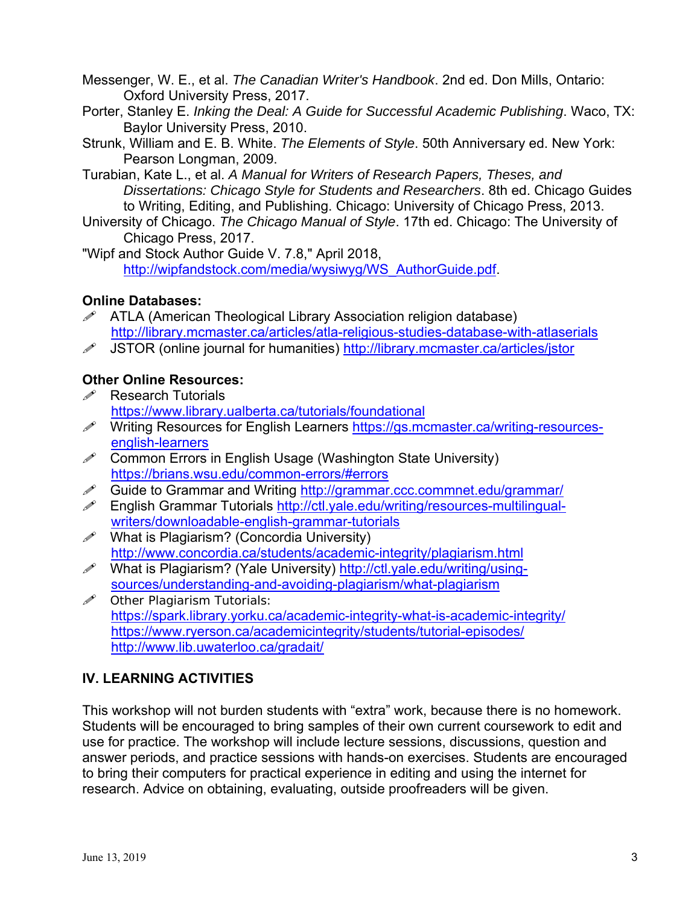Messenger, W. E., et al. *The Canadian Writer's Handbook*. 2nd ed. Don Mills, Ontario: Oxford University Press, 2017.

- Porter, Stanley E. *Inking the Deal: A Guide for Successful Academic Publishing*. Waco, TX: Baylor University Press, 2010.
- Strunk, William and E. B. White. *The Elements of Style*. 50th Anniversary ed. New York: Pearson Longman, 2009.
- Turabian, Kate L., et al. *A Manual for Writers of Research Papers, Theses, and Dissertations: Chicago Style for Students and Researchers*. 8th ed. Chicago Guides to Writing, Editing, and Publishing. Chicago: University of Chicago Press, 2013.
- University of Chicago. *The Chicago Manual of Style*. 17th ed. Chicago: The University of Chicago Press, 2017.

"Wipf and Stock Author Guide V. 7.8," April 2018, http://wipfandstock.com/media/wysiwyg/WS\_AuthorGuide.pdf.

## **Online Databases:**

- $\mathscr{P}$  ATLA (American Theological Library Association religion database) http://library.mcmaster.ca/articles/atla-religious-studies-database-with-atlaserials
- JSTOR (online journal for humanities) http://library.mcmaster.ca/articles/jstor

## **Other Online Resources:**

- $\mathscr{P}$  Research Tutorials https://www.library.ualberta.ca/tutorials/foundational
- A Writing Resources for English Learners https://gs.mcmaster.ca/writing-resourcesenglish-learners
- $\mathscr{P}$  Common Errors in English Usage (Washington State University) https://brians.wsu.edu/common-errors/#errors
- Guide to Grammar and Writing http://grammar.ccc.commnet.edu/grammar/
- $\mathscr{P}$  English Grammar Tutorials http://ctl.yale.edu/writing/resources-multilingualwriters/downloadable-english-grammar-tutorials
- $\mathscr{P}$  What is Plagiarism? (Concordia University) http://www.concordia.ca/students/academic-integrity/plagiarism.html
- What is Plagiarism? (Yale University) http://ctl.yale.edu/writing/usingsources/understanding-and-avoiding-plagiarism/what-plagiarism
- $\mathscr{D}$  Other Plagiarism Tutorials: https://spark.library.yorku.ca/academic-integrity-what-is-academic-integrity/ https://www.ryerson.ca/academicintegrity/students/tutorial-episodes/ http://www.lib.uwaterloo.ca/gradait/

## **IV. LEARNING ACTIVITIES**

This workshop will not burden students with "extra" work, because there is no homework. Students will be encouraged to bring samples of their own current coursework to edit and use for practice. The workshop will include lecture sessions, discussions, question and answer periods, and practice sessions with hands-on exercises. Students are encouraged to bring their computers for practical experience in editing and using the internet for research. Advice on obtaining, evaluating, outside proofreaders will be given.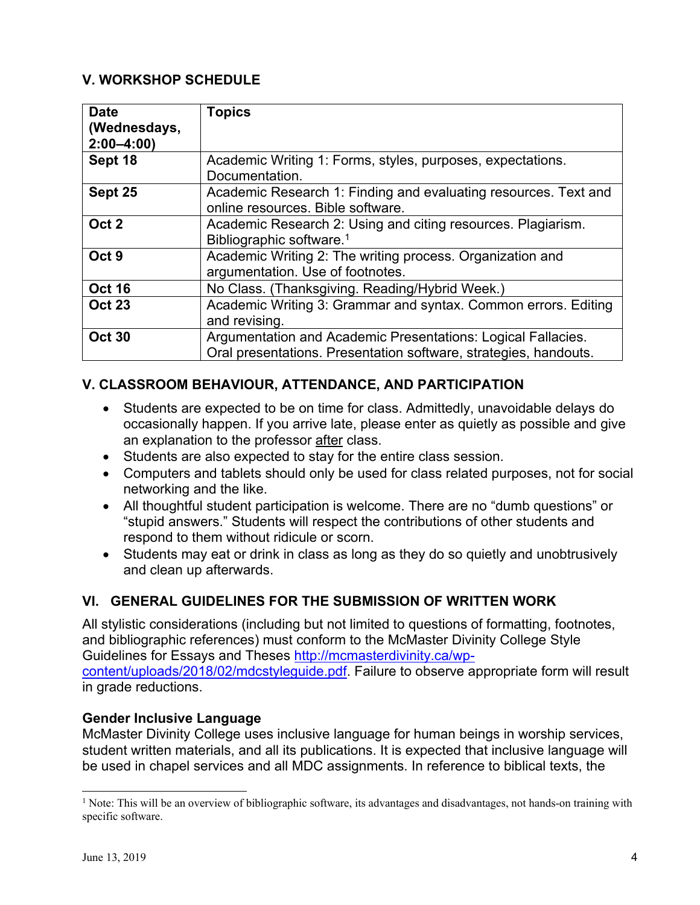## **V. WORKSHOP SCHEDULE**

| <b>Date</b><br>(Wednesdays,<br>$2:00 - 4:00$ | <b>Topics</b>                                                                                                                    |
|----------------------------------------------|----------------------------------------------------------------------------------------------------------------------------------|
| Sept 18                                      | Academic Writing 1: Forms, styles, purposes, expectations.<br>Documentation.                                                     |
| Sept 25                                      | Academic Research 1: Finding and evaluating resources. Text and<br>online resources. Bible software.                             |
| Oct 2                                        | Academic Research 2: Using and citing resources. Plagiarism.<br>Bibliographic software. <sup>1</sup>                             |
| Oct <sub>9</sub>                             | Academic Writing 2: The writing process. Organization and<br>argumentation. Use of footnotes.                                    |
| <b>Oct 16</b>                                | No Class. (Thanksgiving. Reading/Hybrid Week.)                                                                                   |
| <b>Oct 23</b>                                | Academic Writing 3: Grammar and syntax. Common errors. Editing<br>and revising.                                                  |
| <b>Oct 30</b>                                | Argumentation and Academic Presentations: Logical Fallacies.<br>Oral presentations. Presentation software, strategies, handouts. |

## **V. CLASSROOM BEHAVIOUR, ATTENDANCE, AND PARTICIPATION**

- Students are expected to be on time for class. Admittedly, unavoidable delays do occasionally happen. If you arrive late, please enter as quietly as possible and give an explanation to the professor after class.
- Students are also expected to stay for the entire class session.
- Computers and tablets should only be used for class related purposes, not for social networking and the like.
- All thoughtful student participation is welcome. There are no "dumb questions" or "stupid answers." Students will respect the contributions of other students and respond to them without ridicule or scorn.
- Students may eat or drink in class as long as they do so quietly and unobtrusively and clean up afterwards.

### **VI. GENERAL GUIDELINES FOR THE SUBMISSION OF WRITTEN WORK**

All stylistic considerations (including but not limited to questions of formatting, footnotes, and bibliographic references) must conform to the McMaster Divinity College Style Guidelines for Essays and Theses http://mcmasterdivinity.ca/wpcontent/uploads/2018/02/mdcstyleguide.pdf. Failure to observe appropriate form will result in grade reductions.

#### **Gender Inclusive Language**

McMaster Divinity College uses inclusive language for human beings in worship services, student written materials, and all its publications. It is expected that inclusive language will be used in chapel services and all MDC assignments. In reference to biblical texts, the

 $\overline{a}$ 

<sup>&</sup>lt;sup>1</sup> Note: This will be an overview of bibliographic software, its advantages and disadvantages, not hands-on training with specific software.